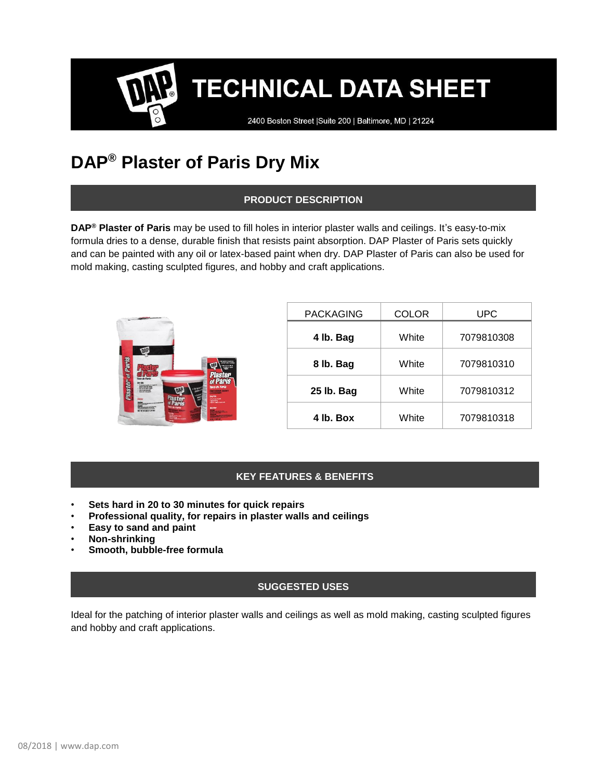**TECHNICAL DATA SHEET** 

2400 Boston Street | Suite 200 | Baltimore, MD | 21224

# **DAP® Plaster of Paris Dry Mix**

# **PRODUCT DESCRIPTION**

**DAP® Plaster of Paris** may be used to fill holes in interior plaster walls and ceilings. It's easy-to-mix formula dries to a dense, durable finish that resists paint absorption. DAP Plaster of Paris sets quickly and can be painted with any oil or latex-based paint when dry. DAP Plaster of Paris can also be used for mold making, casting sculpted figures, and hobby and craft applications.



| <b>PACKAGING</b> | COLOR | UPC        |
|------------------|-------|------------|
| 4 lb. Bag        | White | 7079810308 |
| 8 lb. Bag        | White | 7079810310 |
| 25 lb. Bag       | White | 7079810312 |
| 4 lb. Box        | White | 7079810318 |

# **KEY FEATURES & BENEFITS**

- **Sets hard in 20 to 30 minutes for quick repairs**
- **Professional quality, for repairs in plaster walls and ceilings**
- **Easy to sand and paint**
- **Non-shrinking**
- **Smooth, bubble-free formula**

### **SUGGESTED USES**

Ideal for the patching of interior plaster walls and ceilings as well as mold making, casting sculpted figures and hobby and craft applications.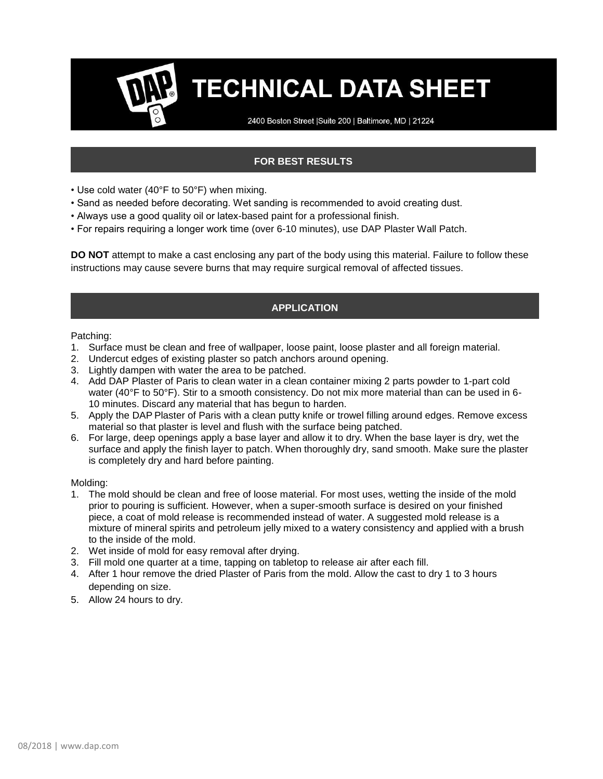# **TECHNICAL DATA SHEET**

2400 Boston Street | Suite 200 | Baltimore, MD | 21224

# **FOR BEST RESULTS**

- Use cold water (40°F to 50°F) when mixing.
- Sand as needed before decorating. Wet sanding is recommended to avoid creating dust.
- Always use a good quality oil or latex-based paint for a professional finish.
- For repairs requiring a longer work time (over 6-10 minutes), use DAP Plaster Wall Patch.

**DO NOT** attempt to make a cast enclosing any part of the body using this material. Failure to follow these instructions may cause severe burns that may require surgical removal of affected tissues.

### **APPLICATION**

Patching:

- 1. Surface must be clean and free of wallpaper, loose paint, loose plaster and all foreign material.
- 2. Undercut edges of existing plaster so patch anchors around opening.
- 3. Lightly dampen with water the area to be patched.
- 4. Add DAP Plaster of Paris to clean water in a clean container mixing 2 parts powder to 1-part cold water (40°F to 50°F). Stir to a smooth consistency. Do not mix more material than can be used in 6-10 minutes. Discard any material that has begun to harden.
- 5. Apply the DAP Plaster of Paris with a clean putty knife or trowel filling around edges. Remove excess material so that plaster is level and flush with the surface being patched.
- 6. For large, deep openings apply a base layer and allow it to dry. When the base layer is dry, wet the surface and apply the finish layer to patch. When thoroughly dry, sand smooth. Make sure the plaster is completely dry and hard before painting.

Molding:

- 1. The mold should be clean and free of loose material. For most uses, wetting the inside of the mold prior to pouring is sufficient. However, when a super-smooth surface is desired on your finished piece, a coat of mold release is recommended instead of water. A suggested mold release is a mixture of mineral spirits and petroleum jelly mixed to a watery consistency and applied with a brush to the inside of the mold.
- 2. Wet inside of mold for easy removal after drying.
- 3. Fill mold one quarter at a time, tapping on tabletop to release air after each fill.
- 4. After 1 hour remove the dried Plaster of Paris from the mold. Allow the cast to dry 1 to 3 hours depending on size.
- 5. Allow 24 hours to dry.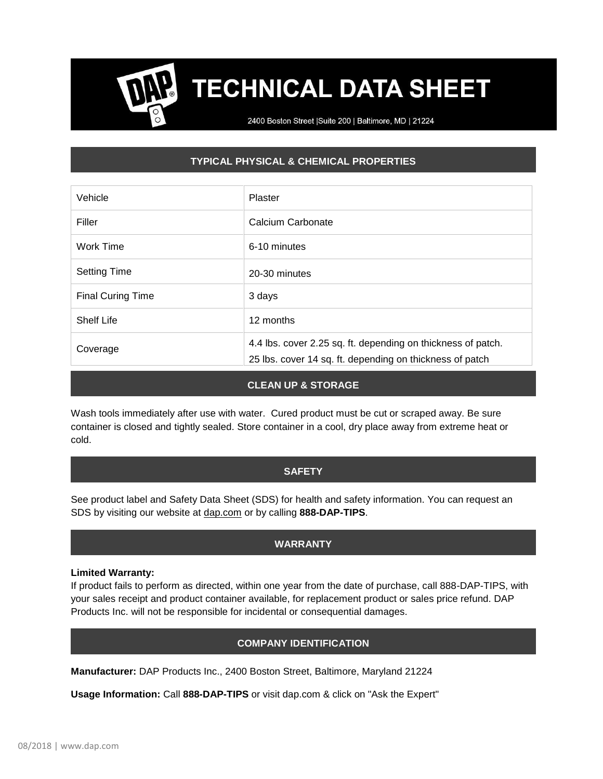# **TECHNICAL DATA SHEET**

2400 Boston Street | Suite 200 | Baltimore, MD | 21224

# **TYPICAL PHYSICAL & CHEMICAL PROPERTIES**

| Vehicle                  | Plaster                                                                                                                  |  |
|--------------------------|--------------------------------------------------------------------------------------------------------------------------|--|
| Filler                   | Calcium Carbonate                                                                                                        |  |
| Work Time                | 6-10 minutes                                                                                                             |  |
| <b>Setting Time</b>      | 20-30 minutes                                                                                                            |  |
| <b>Final Curing Time</b> | 3 days                                                                                                                   |  |
| <b>Shelf Life</b>        | 12 months                                                                                                                |  |
| Coverage                 | 4.4 lbs. cover 2.25 sq. ft. depending on thickness of patch.<br>25 lbs. cover 14 sq. ft. depending on thickness of patch |  |

#### **CLEAN UP & STORAGE**

Wash tools immediately after use with water. Cured product must be cut or scraped away. Be sure container is closed and tightly sealed. Store container in a cool, dry place away from extreme heat or cold.

### **SAFETY**

See product label and Safety Data Sheet (SDS) for health and safety information. You can request an SDS by visiting our website at [dap.com](http://www.dap.com/) or by calling **888-DAP-TIPS**.

### **WARRANTY**

#### **Limited Warranty:**

If product fails to perform as directed, within one year from the date of purchase, call 888-DAP-TIPS, with your sales receipt and product container available, for replacement product or sales price refund. DAP Products Inc. will not be responsible for incidental or consequential damages.

### **COMPANY IDENTIFICATION**

**Manufacturer:** DAP Products Inc., 2400 Boston Street, Baltimore, Maryland 21224

**Usage Information:** Call **888-DAP-TIPS** or visit dap.com & click on "Ask the Expert"